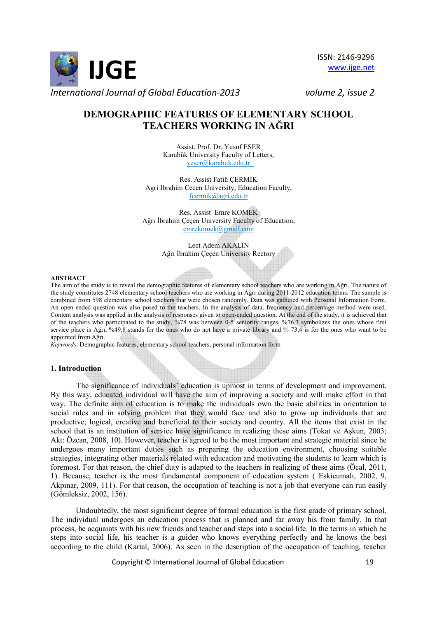

ISSN: 2146-9296 www.ijge.net

# **DEMOGRAPHIC FEATURES OF ELEMENTARY SCHOOL TEACHERS WORKING IN AĞRI**

Assist. Prof. Dr. Yusuf ESER Karabük University Faculty of Letters, yeser@karabuk.edu.tr

Res. Assist Fatih CERMİK Agri Ibrahim Cecen University, Education Faculty, fcermik@agri.edu.tr

Res. Assist Emre KOMEK Ağrı İbrahim Cecen University Faculty of Education, emrekomek@gmail.com

> Lect Adem AKALIN Ağrı İbrahim Cecen University Rectory

#### **ABSTRACT**

The aim of the study is to reveal the demographic features of elementary school teachers who are working in Ağrı. The nature of the study constitutes 2748 elementary school teachers who are working in Ağrı during 2011-2012 education terms. The sample is combined from 598 elementary school teachers that were chosen randomly. Data was gathered with Personal Information Form. An open-ended question was also posed to the teachers. In the analysis of data, frequency and percentage method were used. Content analysis was applied in the analysis of responses given to open-ended question. At the end of the study, it is achieved that of the teachers who participated to the study, %78 was between 0-5 seniority ranges, %76,3 symbolizes the ones whose first service place is Ağrı, %49,8 stands for the ones who do not have a private library and % 73,4 is for the ones who want to be appointed from Ağrı.

*Keywords*: Demographic features, elementary school teachers, personal information form

#### **1. Introduction**

The significance of individuals' education is upmost in terms of development and improvement. By this way, educated individual will have the aim of improving a society and will make effort in that way. The definite aim of education is to make the individuals own the basic abilities in orientation to social rules and in solving problem that they would face and also to grow up individuals that are productive, logical, creative and beneficial to their society and country. All the items that exist in the school that is an institution of service have significance in realizing these aims (Tokat ve Aşkun, 2003; Akt: Özcan, 2008, 10). However, teacher is agreed to be the most important and strategic material since he undergoes many important duties such as preparing the education environment, choosing suitable strategies, integrating other materials related with education and motivating the students to learn which is foremost. For that reason, the chief duty is adapted to the teachers in realizing of these aims (Öcal, 2011, 1). Because, teacher is the most fundamental component of education system ( Eskicumalı, 2002, 9, Akpınar, 2009, 111). For that reason, the occupation of teaching is not a job that everyone can run easily (Gömleksiz, 2002, 156).

Undoubtedly, the most significant degree of formal education is the first grade of primary school. The individual undergoes an education process that is planned and far away his from family. In that process, he acquaints with his new friends and teacher and steps into a social life. In the terms in which he steps into social life, his teacher is a guider who knows everything perfectly and he knows the best according to the child (Kartal, 2006). As seen in the description of the occupation of teaching, teacher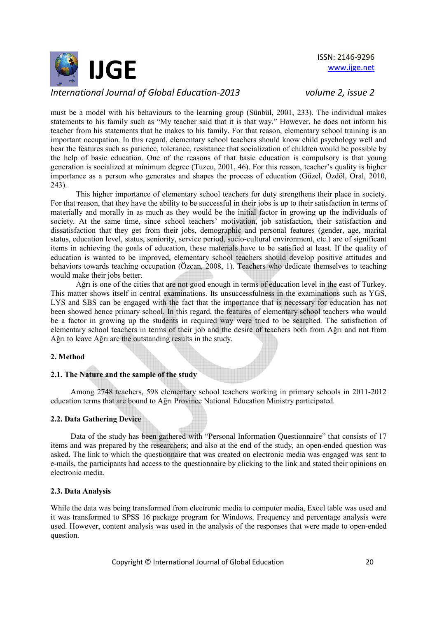

must be a model with his behaviours to the learning group (Sünbül, 2001, 233). The individual makes statements to his family such as "My teacher said that it is that way." However, he does not inform his teacher from his statements that he makes to his family. For that reason, elementary school training is an important occupation. In this regard, elementary school teachers should know child psychology well and bear the features such as patience, tolerance, resistance that socialization of children would be possible by the help of basic education. One of the reasons of that basic education is compulsory is that young generation is socialized at minimum degree (Tuzcu, 2001, 46). For this reason, teacher's quality is higher importance as a person who generates and shapes the process of education (Güzel, Özdöl, Oral, 2010, 243).

This higher importance of elementary school teachers for duty strengthens their place in society. For that reason, that they have the ability to be successful in their jobs is up to their satisfaction in terms of materially and morally in as much as they would be the initial factor in growing up the individuals of society. At the same time, since school teachers' motivation, job satisfaction, their satisfaction and dissatisfaction that they get from their jobs, demographic and personal features (gender, age, marital status, education level, status, seniority, service period, socio-cultural environment, etc.) are of significant items in achieving the goals of education, these materials have to be satisfied at least. If the quality of education is wanted to be improved, elementary school teachers should develop positive attitudes and behaviors towards teaching occupation (Özcan, 2008, 1). Teachers who dedicate themselves to teaching would make their jobs better.

Ağrı is one of the cities that are not good enough in terms of education level in the east of Turkey. This matter shows itself in central examinations. Its unsuccessfulness in the examinations such as YGS, LYS and SBS can be engaged with the fact that the importance that is necessary for education has not been showed hence primary school. In this regard, the features of elementary school teachers who would be a factor in growing up the students in required way were tried to be searched. The satisfaction of elementary school teachers in terms of their job and the desire of teachers both from Ağrı and not from Ağrı to leave Ağrı are the outstanding results in the study.

## **2. Method**

#### **2.1. The Nature and the sample of the study**

 Among 2748 teachers, 598 elementary school teachers working in primary schools in 2011-2012 education terms that are bound to Ağrı Province National Education Ministry participated.

## **2.2. Data Gathering Device**

Data of the study has been gathered with "Personal Information Questionnaire" that consists of 17 items and was prepared by the researchers; and also at the end of the study, an open-ended question was asked. The link to which the questionnaire that was created on electronic media was engaged was sent to e-mails, the participants had access to the questionnaire by clicking to the link and stated their opinions on electronic media.

#### **2.3. Data Analysis**

While the data was being transformed from electronic media to computer media, Excel table was used and it was transformed to SPSS 16 package program for Windows. Frequency and percentage analysis were used. However, content analysis was used in the analysis of the responses that were made to open-ended question.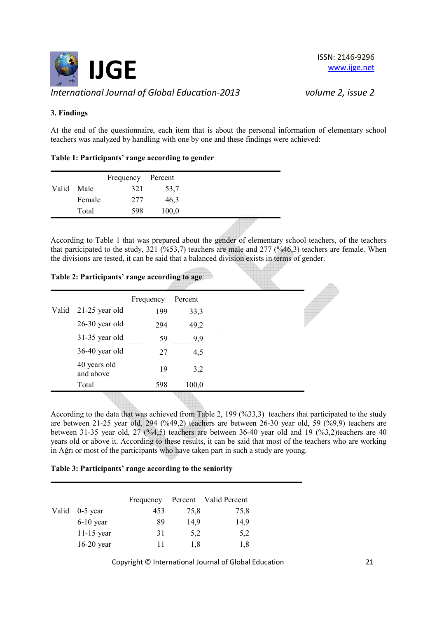

## **3. Findings**

At the end of the questionnaire, each item that is about the personal information of elementary school teachers was analyzed by handling with one by one and these findings were achieved:

|  | Table 1: Participants' range according to gender |
|--|--------------------------------------------------|
|--|--------------------------------------------------|

|       |        | Frequency Percent |       |  |
|-------|--------|-------------------|-------|--|
| Valid | Male   | 321               | 53,7  |  |
|       | Female | 277               | 46,3  |  |
|       | Total  | 598               | 100,0 |  |
|       |        |                   |       |  |

According to Table 1 that was prepared about the gender of elementary school teachers, of the teachers that participated to the study, 321 (%53,7) teachers are male and 277 (%46,3) teachers are female. When the divisions are tested, it can be said that a balanced division exists in terms of gender.

|  |  | Table 2: Participants' range according to age |  |
|--|--|-----------------------------------------------|--|
|--|--|-----------------------------------------------|--|

|       |                           | Frequency | Percent |  |
|-------|---------------------------|-----------|---------|--|
| Valid | $21-25$ year old          | 199       | 33,3    |  |
|       | $26-30$ year old          | 294       | 49,2    |  |
|       | 31-35 year old            | 59        | 9,9     |  |
|       | 36-40 year old            | 27        | 4,5     |  |
|       | 40 years old<br>and above | 19        | 3,2     |  |
|       | Total                     | 598       | 100,0   |  |
|       |                           |           |         |  |

According to the data that was achieved from Table 2, 199 (%33,3) teachers that participated to the study are between 21-25 year old, 294 (%49,2) teachers are between 26-30 year old, 59 (%9,9) teachers are between 31-35 year old, 27 (%4,5) teachers are between 36-40 year old and 19 (%3,2)teachers are 40 years old or above it. According to these results, it can be said that most of the teachers who are working in Ağrı or most of the participants who have taken part in such a study are young.

## **Table 3: Participants' range according to the seniority**

|                | Frequency | Percent | Valid Percent |
|----------------|-----------|---------|---------------|
| Valid 0-5 year | 453       | 75,8    | 75,8          |
| $6-10$ year    | 89        | 14,9    | 14,9          |
| $11-15$ year   | 31        | 5,2     | 5,2           |
| $16-20$ year   | 11        | 1,8     | 1,8           |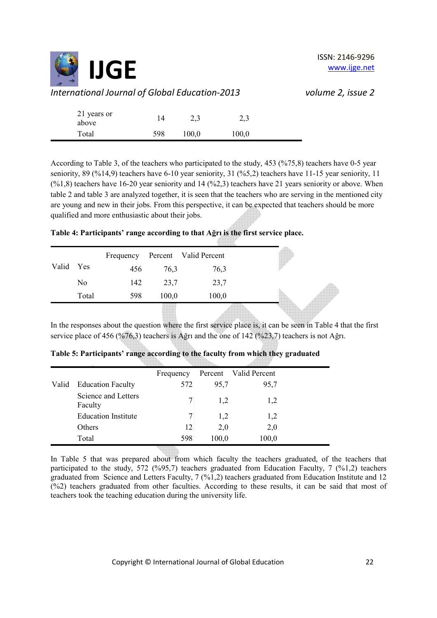

| 21 years or<br>above | 14  | 2,3   | 2,3   |  |
|----------------------|-----|-------|-------|--|
| Total                | 598 | 100,0 | 100,0 |  |

According to Table 3, of the teachers who participated to the study, 453 (%75,8) teachers have 0-5 year seniority, 89 (%14,9) teachers have 6-10 year seniority, 31 (%5,2) teachers have 11-15 year seniority, 11  $(\%1,8)$  teachers have 16-20 year seniority and 14  $(\%2,3)$  teachers have 21 years seniority or above. When table 2 and table 3 are analyzed together, it is seen that the teachers who are serving in the mentioned city are young and new in their jobs. From this perspective, it can be expected that teachers should be more qualified and more enthusiastic about their jobs.

# **Table 4: Participants' range according to that Ağrı is the first service place.**

|           |       | Frequency |       | Percent Valid Percent |  |
|-----------|-------|-----------|-------|-----------------------|--|
| Valid Yes |       | 456       | 76,3  | 76,3                  |  |
|           | No    | 142       | 23,7  | 23,7                  |  |
|           | Total | 598       | 100,0 | 100,0                 |  |
|           |       |           |       |                       |  |

In the responses about the question where the first service place is, it can be seen in Table 4 that the first service place of 456 (%76,3) teachers is Ağrı and the one of 142 (%23,7) teachers is not Ağrı.

|       |                                | Frequency |       | Percent Valid Percent |  |
|-------|--------------------------------|-----------|-------|-----------------------|--|
| Valid | <b>Education Faculty</b>       | 572       | 95,7  | 95,7                  |  |
|       | Science and Letters<br>Faculty |           | 1,2   | 1,2                   |  |
|       | <b>Education Institute</b>     |           | 1,2   | 1,2                   |  |
|       | Others                         | 12        | 2,0   | 2,0                   |  |
|       | Total                          | 598       | 100,0 | 100,0                 |  |

|  |  |  | Table 5: Participants' range according to the faculty from which they graduated |  |
|--|--|--|---------------------------------------------------------------------------------|--|
|--|--|--|---------------------------------------------------------------------------------|--|

In Table 5 that was prepared about from which faculty the teachers graduated, of the teachers that participated to the study, 572 ( $\%$ 95,7) teachers graduated from Education Faculty, 7 ( $\%$ 1,2) teachers graduated from Science and Letters Faculty, 7 (%1,2) teachers graduated from Education Institute and 12 (%2) teachers graduated from other faculties. According to these results, it can be said that most of teachers took the teaching education during the university life.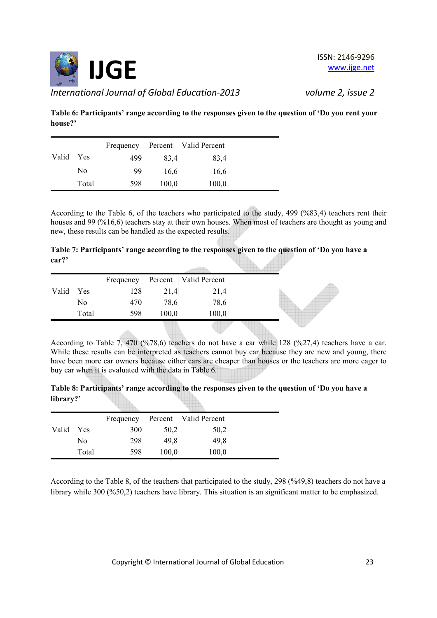

**Table 6: Participants' range according to the responses given to the question of 'Do you rent your house?'** 

|       |       |     |       | Frequency Percent Valid Percent |
|-------|-------|-----|-------|---------------------------------|
| Valid | Yes   | 499 | 83.4  | 83,4                            |
|       | No    | 99  | 16,6  | 16,6                            |
|       | Total | 598 | 100,0 | 100,0                           |

According to the Table 6, of the teachers who participated to the study, 499 (%83,4) teachers rent their houses and 99 (%16,6) teachers stay at their own houses. When most of teachers are thought as young and new, these results can be handled as the expected results.

|       | Table 7: Participants' range according to the responses given to the question of 'Do you have a |  |  |
|-------|-------------------------------------------------------------------------------------------------|--|--|
| car?' |                                                                                                 |  |  |

|           |       |     |       | Frequency Percent   Valid Percent |  |
|-----------|-------|-----|-------|-----------------------------------|--|
| Valid Yes |       | 128 | 21,4  | 21,4                              |  |
|           | No    | 470 | 78,6  | 78,6                              |  |
|           | Total | 598 | 100,0 | 100,0                             |  |
|           |       |     |       |                                   |  |

According to Table 7, 470 (%78,6) teachers do not have a car while 128 (%27,4) teachers have a car. While these results can be interpreted as teachers cannot buy car because they are new and young, there have been more car owners because either cars are cheaper than houses or the teachers are more eager to buy car when it is evaluated with the data in Table 6.

**Table 8: Participants' range according to the responses given to the question of 'Do you have a library?'** 

|       |            | Frequency |       | Percent Valid Percent |
|-------|------------|-----------|-------|-----------------------|
| Valid | <b>Yes</b> | 300       | 50,2  | 50,2                  |
|       | No         | 298       | 49.8  | 49.8                  |
|       | Total      | 598       | 100,0 | 100,0                 |

According to the Table 8, of the teachers that participated to the study, 298 (%49,8) teachers do not have a library while 300 (%50,2) teachers have library. This situation is an significant matter to be emphasized.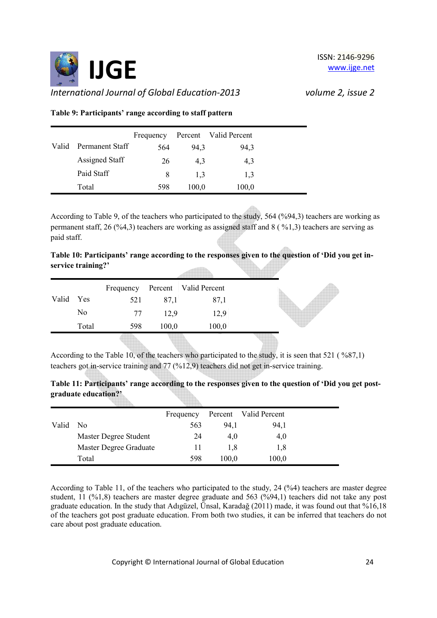

**Table 9: Participants' range according to staff pattern** 

<u>timba</u>

|       |                 | Frequency |       | Percent Valid Percent |
|-------|-----------------|-----------|-------|-----------------------|
| Valid | Permanent Staff | 564       | 94,3  | 94,3                  |
|       | Assigned Staff  | 26        | 4.3   | 4,3                   |
|       | Paid Staff      | 8         | 1.3   | 1,3                   |
|       | Total           | 598       | 100,0 | 100,0                 |

According to Table 9, of the teachers who participated to the study, 564 (%94,3) teachers are working as permanent staff, 26 (%4,3) teachers are working as assigned staff and 8 ( %1,3) teachers are serving as paid staff.

 $\sqrt{m_{\rm{th}}}$  .

|                    | Table 10: Participants' range according to the responses given to the question of 'Did you get in- |  |  |
|--------------------|----------------------------------------------------------------------------------------------------|--|--|
| service training?' |                                                                                                    |  |  |
|                    |                                                                                                    |  |  |

|           |       | Frequency |       | Percent   Valid Percent |  |
|-----------|-------|-----------|-------|-------------------------|--|
| Valid Yes |       | 521       | 87,1  | 87,1                    |  |
|           | No    | 77        | 12.9  | 12,9                    |  |
|           | Total | 598       | 100,0 | 100,0                   |  |
|           |       |           |       |                         |  |

According to the Table 10, of the teachers who participated to the study, it is seen that 521 ( %87,1) teachers got in-service training and 77 (%12,9) teachers did not get in-service training.

|                      | Table 11: Participants' range according to the responses given to the question of 'Did you get post- |
|----------------------|------------------------------------------------------------------------------------------------------|
| graduate education?' |                                                                                                      |
|                      |                                                                                                      |

|       |                        | Frequency |       | Percent Valid Percent |  |
|-------|------------------------|-----------|-------|-----------------------|--|
| Valid | N <sub>0</sub>         | 563       | 94,1  | 94,1                  |  |
|       | Master Degree Student  | 24        | 4,0   | 4,0                   |  |
|       | Master Degree Graduate |           | 1.8   | 1,8                   |  |
|       | Total                  | 598       | 100,0 | 100,0                 |  |
|       |                        |           |       |                       |  |

According to Table 11, of the teachers who participated to the study, 24 (%4) teachers are master degree student, 11 (%1,8) teachers are master degree graduate and 563 (%94,1) teachers did not take any post graduate education. In the study that Adıgüzel, Ünsal, Karadağ (2011) made, it was found out that %16,18 of the teachers got post graduate education. From both two studies, it can be inferred that teachers do not care about post graduate education.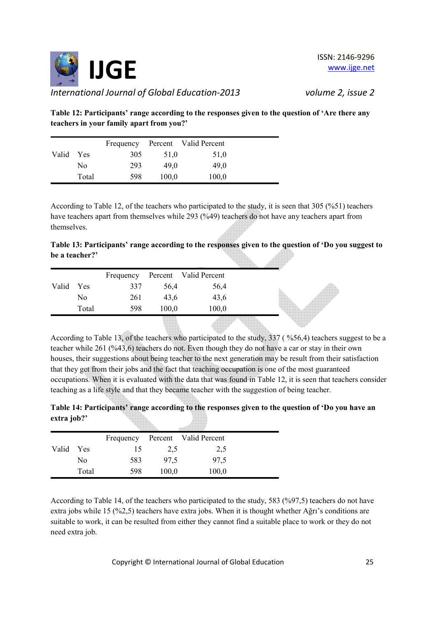

**Table 12: Participants' range according to the responses given to the question of 'Are there any teachers in your family apart from you?'** 

|       |            | Frequency |       | Percent Valid Percent |
|-------|------------|-----------|-------|-----------------------|
| Valid | <b>Yes</b> | 305       | 51,0  | 51,0                  |
|       | No         | 293       | 49.0  | 49.0                  |
|       | Total      | 598       | 100,0 | 100,0                 |

According to Table 12, of the teachers who participated to the study, it is seen that 305 (%51) teachers have teachers apart from themselves while 293 (%49) teachers do not have any teachers apart from themselves.

**Table 13: Participants' range according to the responses given to the question of 'Do you suggest to be a teacher?'** 

|       |       | Frequency |       | Percent Valid Percent |  |
|-------|-------|-----------|-------|-----------------------|--|
| Valid | Yes   | 337       | 56,4  | 56,4                  |  |
|       | No    | 261       | 43,6  | 43,6                  |  |
|       | Total | 598       | 100,0 | 100,0                 |  |
|       |       |           |       |                       |  |

According to Table 13, of the teachers who participated to the study, 337 ( %56,4) teachers suggest to be a teacher while 261 (%43,6) teachers do not. Even though they do not have a car or stay in their own houses, their suggestions about being teacher to the next generation may be result from their satisfaction that they get from their jobs and the fact that teaching occupation is one of the most guaranteed occupations. When it is evaluated with the data that was found in Table 12, it is seen that teachers consider teaching as a life style and that they became teacher with the suggestion of being teacher.

| Table 14: Participants' range according to the responses given to the question of 'Do you have an |  |  |
|---------------------------------------------------------------------------------------------------|--|--|
| extra job?'                                                                                       |  |  |

|       |            |     |       | Frequency Percent Valid Percent |
|-------|------------|-----|-------|---------------------------------|
| Valid | <b>Yes</b> | 15  | 2,5   | 2,5                             |
|       | No         | 583 | 97,5  | 97,5                            |
|       | Total      | 598 | 100,0 | 100,0                           |

According to Table 14, of the teachers who participated to the study, 583 (%97,5) teachers do not have extra jobs while 15 (%2,5) teachers have extra jobs. When it is thought whether Ağrı's conditions are suitable to work, it can be resulted from either they cannot find a suitable place to work or they do not need extra job.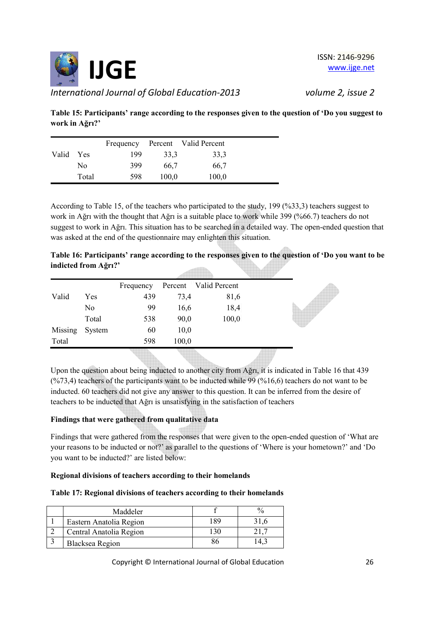

**Table 15: Participants' range according to the responses given to the question of 'Do you suggest to work in Ağrı?'** 

|       |            | Frequency |       | Percent Valid Percent |
|-------|------------|-----------|-------|-----------------------|
| Valid | <b>Yes</b> | 199       | 33.3  | 33,3                  |
|       | No         | 399       | 66,7  | 66,7                  |
|       | Total      | 598       | 100,0 | 100,0                 |

According to Table 15, of the teachers who participated to the study, 199 (%33,3) teachers suggest to work in Ağrı with the thought that Ağrı is a suitable place to work while 399 (%66.7) teachers do not suggest to work in Ağrı. This situation has to be searched in a detailed way. The open-ended question that was asked at the end of the questionnaire may enlighten this situation.

|                      | Table 16: Participants' range according to the responses given to the question of 'Do you want to be |  |  |
|----------------------|------------------------------------------------------------------------------------------------------|--|--|
| indicted from Ağrı?' |                                                                                                      |  |  |

|         |        | Frequency |       | Percent Valid Percent |  |
|---------|--------|-----------|-------|-----------------------|--|
| Valid   | Yes    | 439       | 73,4  | 81,6                  |  |
|         | No     | 99        | 16,6  | 18,4                  |  |
|         | Total  | 538       | 90,0  | 100,0                 |  |
| Missing | System | 60        | 10,0  |                       |  |
| Total   |        | 598       | 100,0 |                       |  |
|         |        |           |       |                       |  |

Upon the question about being inducted to another city from Ağrı, it is indicated in Table 16 that 439  $(\frac{673,4}{60})$  teachers of the participants want to be inducted while 99 (%16,6) teachers do not want to be inducted. 60 teachers did not give any answer to this question. It can be inferred from the desire of teachers to be inducted that Ağrı is unsatisfying in the satisfaction of teachers

# **Findings that were gathered from qualitative data**

Findings that were gathered from the responses that were given to the open-ended question of 'What are your reasons to be inducted or not?' as parallel to the questions of 'Where is your hometown?' and 'Do you want to be inducted?' are listed below:

# **Regional divisions of teachers according to their homelands**

## **Table 17: Regional divisions of teachers according to their homelands**

| Maddeler                |     |  |
|-------------------------|-----|--|
| Eastern Anatolia Region | 189 |  |
| Central Anatolia Region |     |  |
| Blacksea Region         |     |  |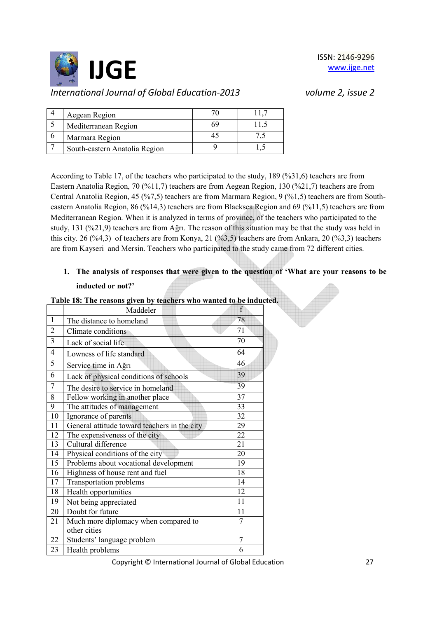

| Aegean Region                 |  |
|-------------------------------|--|
| Mediterranean Region          |  |
| Marmara Region                |  |
| South-eastern Anatolia Region |  |

According to Table 17, of the teachers who participated to the study, 189 (%31,6) teachers are from Eastern Anatolia Region, 70 (%11,7) teachers are from Aegean Region, 130 (%21,7) teachers are from Central Anatolia Region, 45 (%7,5) teachers are from Marmara Region, 9 (%1,5) teachers are from Southeastern Anatolia Region, 86 (%14,3) teachers are from Blacksea Region and 69 (%11,5) teachers are from Mediterranean Region. When it is analyzed in terms of province, of the teachers who participated to the study, 131 (%21,9) teachers are from Ağrı. The reason of this situation may be that the study was held in this city. 26 (%4,3) of teachers are from Konya, 21 (%3,5) teachers are from Ankara, 20 (%3,3) teachers are from Kayseri and Mersin. Teachers who participated to the study came from 72 different cities.

# **1. The analysis of responses that were given to the question of 'What are your reasons to be inducted or not?'**

|                | Maddeler                                     | f              |
|----------------|----------------------------------------------|----------------|
| $\mathbf{1}$   | The distance to homeland                     | 78             |
| $\overline{2}$ | Climate conditions                           | 71             |
| 3              | Lack of social life                          | 70             |
| 4              | Lowness of life standard                     | 64             |
| 5              | Service time in Ağrı                         | 46             |
| 6              | Lack of physical conditions of schools       | 39             |
| 7              | The desire to service in homeland            | 39             |
| 8              | Fellow working in another place              | 37             |
| 9              | The attitudes of management                  | 33             |
| 10             | Ignorance of parents                         | 32             |
| 11             | General attitude toward teachers in the city | 29             |
| 12             | The expensiveness of the city                | 22             |
| 13             | Cultural difference                          | 21             |
| 14             | Physical conditions of the city              | 20             |
| 15             | Problems about vocational development        | 19             |
| 16             | Highness of house rent and fuel              | 18             |
| 17             | <b>Transportation problems</b>               | 14             |
| 18             | Health opportunities                         | 12             |
| 19             | Not being appreciated                        | 11             |
| 20             | Doubt for future                             | 11             |
| 21             | Much more diplomacy when compared to         | $\overline{7}$ |
|                | other cities                                 |                |
| 22             | Students' language problem                   | $\overline{7}$ |
| 23             | Health problems                              | 6              |

# **Table 18: The reasons given by teachers who wanted to be inducted.**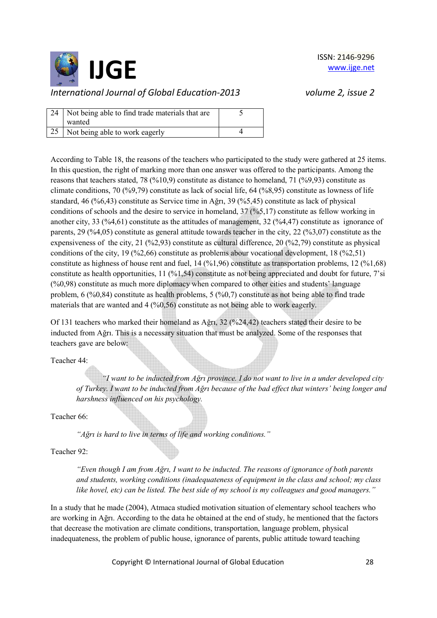

| 24 Not being able to find trade materials that are<br>wanted |  |
|--------------------------------------------------------------|--|
| 25 Not being able to work eagerly                            |  |

According to Table 18, the reasons of the teachers who participated to the study were gathered at 25 items. In this question, the right of marking more than one answer was offered to the participants. Among the reasons that teachers stated, 78 (%10,9) constitute as distance to homeland, 71 (%9,93) constitute as climate conditions, 70 (%9,79) constitute as lack of social life, 64 (%8,95) constitute as lowness of life standard, 46 (%6,43) constitute as Service time in Ağrı, 39 (%5,45) constitute as lack of physical conditions of schools and the desire to service in homeland, 37 (%5,17) constitute as fellow working in another city, 33 (%4,61) constitute as the attitudes of management, 32 (%4,47) constitute as ignorance of parents, 29 (%4,05) constitute as general attitude towards teacher in the city, 22 (%3,07) constitute as the expensiveness of the city, 21 (%2,93) constitute as cultural difference, 20 (%2,79) constitute as physical conditions of the city, 19 (%2,66) constitute as problems abour vocational development, 18 (%2,51) constitute as highness of house rent and fuel, 14 (%1,96) constitute as transportation problems, 12 (%1,68) constitute as health opportunities, 11 (%1,54) constitute as not being appreciated and doubt for future, 7'si (%0,98) constitute as much more diplomacy when compared to other cities and students' language problem, 6 (%0,84) constitute as health problems, 5 (%0,7) constitute as not being able to find trade materials that are wanted and 4 (%0,56) constitute as not being able to work eagerly.

Of 131 teachers who marked their homeland as Ağrı, 32 (%24,42) teachers stated their desire to be inducted from Ağrı. This is a necessary situation that must be analyzed. Some of the responses that teachers gave are below:

Teacher 44:

*"I want to be inducted from Ağrı province. I do not want to live in a under developed city of Turkey. I want to be inducted from Ağrı because of the bad effect that winters' being longer and harshness influenced on his psychology.* 

Teacher 66:

*"Ağrı is hard to live in terms of life and working conditions."* 

Teacher 92:

*"Even though I am from Ağrı, I want to be inducted. The reasons of ignorance of both parents and students, working conditions (inadequateness of equipment in the class and school; my class like hovel, etc) can be listed. The best side of my school is my colleagues and good managers."* 

In a study that he made (2004), Atmaca studied motivation situation of elementary school teachers who are working in Ağrı. According to the data he obtained at the end of study, he mentioned that the factors that decrease the motivation are climate conditions, transportation, language problem, physical inadequateness, the problem of public house, ignorance of parents, public attitude toward teaching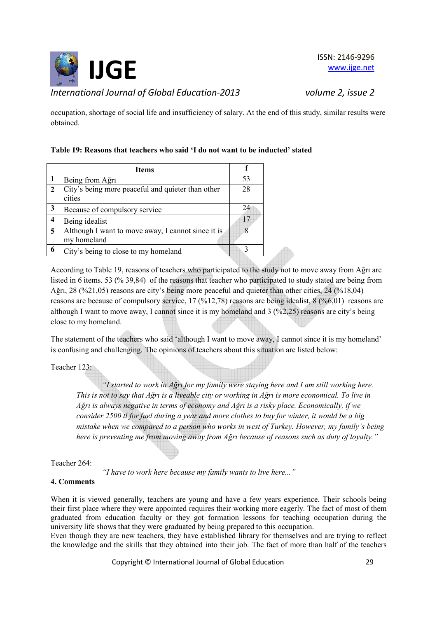

ISSN: 2146-9296 www.ijge.net

occupation, shortage of social life and insufficiency of salary. At the end of this study, similar results were obtained.

# **Table 19: Reasons that teachers who said 'I do not want to be inducted' stated**

|                | <b>Items</b>                                                      |             |
|----------------|-------------------------------------------------------------------|-------------|
| 1              | Being from Ağrı                                                   | 53          |
| $\overline{2}$ | City's being more peaceful and quieter than other<br>cities       | 28          |
| $\mathbf{3}$   | Because of compulsory service                                     | 24          |
| 4              | Being idealist                                                    | 17          |
| 5              | Although I want to move away, I cannot since it is<br>my homeland |             |
| 6              | City's being to close to my homeland                              | $\mathbf 3$ |
|                |                                                                   |             |

According to Table 19, reasons of teachers who participated to the study not to move away from Ağrı are listed in 6 items. 53 (% 39,84) of the reasons that teacher who participated to study stated are being from Ağrı, 28 (%21,05) reasons are city's being more peaceful and quieter than other cities, 24 (%18,04) reasons are because of compulsory service, 17 (%12,78) reasons are being idealist, 8 (%6,01) reasons are although I want to move away, I cannot since it is my homeland and 3 (%2,25) reasons are city's being close to my homeland.

The statement of the teachers who said 'although I want to move away, I cannot since it is my homeland' is confusing and challenging. The opinions of teachers about this situation are listed below:

Teacher 123:

*"I started to work in Ağrı for my family were staying here and I am still working here. This is not to say that Ağrı is a liveable city or working in Ağrı is more economical. To live in Ağrı is always negative in terms of economy and Ağrı is a risky place. Economically, if we consider 2500 tl for fuel during a year and more clothes to buy for winter, it would be a big mistake when we compared to a person who works in west of Turkey. However, my family's being here is preventing me from moving away from Ağrı because of reasons such as duty of loyalty."* 

Teacher 264:

*"I have to work here because my family wants to live here..."* 

## **4. Comments**

When it is viewed generally, teachers are young and have a few years experience. Their schools being their first place where they were appointed requires their working more eagerly. The fact of most of them graduated from education faculty or they got formation lessons for teaching occupation during the university life shows that they were graduated by being prepared to this occupation.

Even though they are new teachers, they have established library for themselves and are trying to reflect the knowledge and the skills that they obtained into their job. The fact of more than half of the teachers